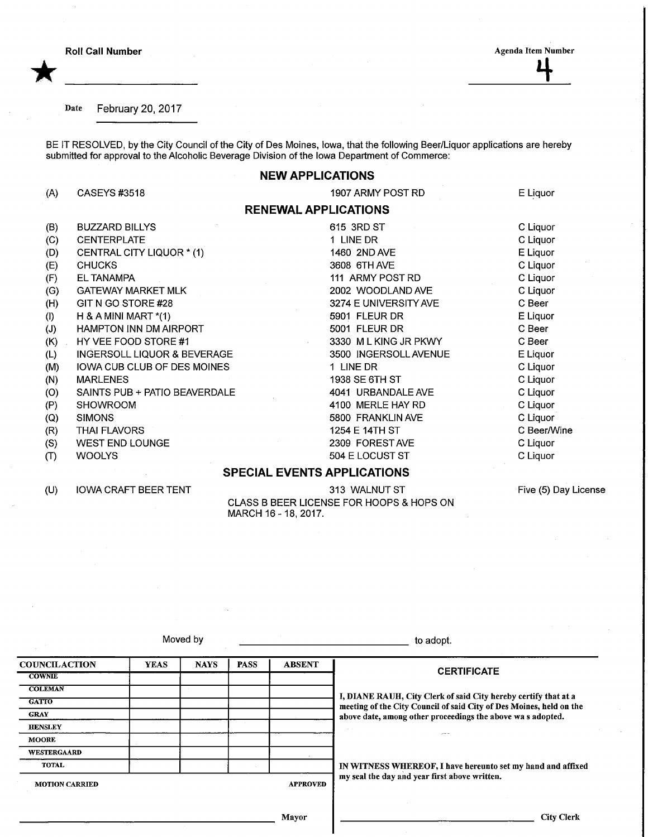\*

**Roll Call Number Agenda Item Number Agenda Item Number** Agenda Item Number Agenda Item Number

E Liquor

C Liquor C Liquor E Liquor C Liquor C Liquor C Liquor C Beer E Liquor C Beer C Beer E Liquor C Liquor C Liquor C Liquor C Liquor C Liquor C Beer/Wine C Liquor C Liquor

Date February 20, 2017

BE IT RESOLVED, by the City Council of the City of Des Moines, Iowa, that the following Beer/Liquor applications are hereby submitted for approval to the Alcoholic Beverage Division of the Iowa Department of Commerce:

## NEW APPLICATIONS

RENEWAL APPLICATIONS

1907 ARMY POST RD

615 3RD ST 1 LINE DR 1460 2NDAVE 3608 6THAVE 111 ARMY POST RD 2002 WOODLAND AVE 3274 E UNIVERSITY AVE

5901 FLEUR DR 5001 FLEUR DR

1 LINE DR 1938 SE 6TH ST 4041 URBANDALEAVE 4100 MERLE HAY RD 5800 FRANKLIN AVE 1254 E 14TH ST 2309 FOREST AVE 504 E LOCUST ST

3330 MLKING JR PKWY 3500 INGERSOLL AVENUE

(A) CASEYS#3518

- (B) BUZZARD BILLYS
- (C) CENTERPLATE
- (D) CENTRAL CITY LIQUOR \* (1)
- (E) CHUCKS
- (F) ELTANAMPA
- (G) GATEWAY MARKET MLK
- (H) GIT N GO STORE #28
- (I) H&AMINIMART\*(1)
- (J) HAMPTON INN DM AIRPORT
- (K) HY VEE FOOD STORE #1
- (L) INGERSOLL LIQUOR & BEVERAGE
- (M) IOWA CUB CLUB OF DES MOINES
- (N) MARLENES
- (0) SAINTS PUB + PATIO BEAVERDALE
- (P) SHOWROOM
- (Q) SIMONS
- (R) THAI FLAVORS
- (S) WEST END LOUNGE
- (T) **WOOLYS**

(U)

## SPECIAL EVENTS APPLICATIONS

IOWA CRAFT BEER TENT

313 WALNUT ST CLASS B BEER LICENSE FOR HOOPS & HOPS ON MARCH 16-18, 2017.

Five (5) Day License

Moved by the contract of the contract of the adopt.

| <b>COUNCILACTION</b>  | <b>YEAS</b>     | <b>NAYS</b> | <b>PASS</b> | <b>ABSENT</b>                                                                                                                          | <b>CERTIFICATE</b>                                          |  |  |
|-----------------------|-----------------|-------------|-------------|----------------------------------------------------------------------------------------------------------------------------------------|-------------------------------------------------------------|--|--|
| <b>COWNIE</b>         |                 |             |             |                                                                                                                                        |                                                             |  |  |
| <b>COLEMAN</b>        |                 |             |             | I, DIANE RAUH, City Clerk of said City hereby certify that at a<br>meeting of the City Council of said City of Des Moines, held on the |                                                             |  |  |
| <b>GATTO</b>          |                 |             |             |                                                                                                                                        |                                                             |  |  |
| <b>GRAY</b>           |                 |             |             |                                                                                                                                        | above date, among other proceedings the above was adopted.  |  |  |
| <b>HENSLEY</b>        |                 |             |             |                                                                                                                                        |                                                             |  |  |
| <b>MOORE</b>          |                 |             |             |                                                                                                                                        | $-$                                                         |  |  |
| <b>WESTERGAARD</b>    |                 |             |             |                                                                                                                                        |                                                             |  |  |
| <b>TOTAL</b>          |                 |             |             |                                                                                                                                        | IN WITNESS WHEREOF, I have hereunto set my hand and affixed |  |  |
| <b>MOTION CARRIED</b> | <b>APPROVED</b> |             |             |                                                                                                                                        | my seal the day and year first above written.               |  |  |
|                       |                 |             |             |                                                                                                                                        |                                                             |  |  |

Mayor